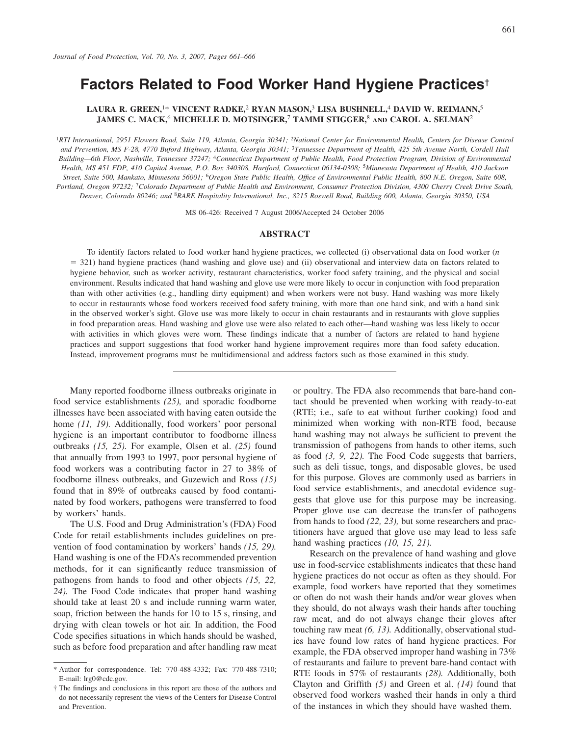# **Factors Related to Food Worker Hand Hygiene Practices**†

## **LAURA R. GREEN,**1\* **VINCENT RADKE,**<sup>2</sup> **RYAN MASON,**<sup>3</sup> **LISA BUSHNELL,**<sup>4</sup> **DAVID W. REIMANN,**<sup>5</sup> **JAMES C. MACK,**<sup>6</sup> **MICHELLE D. MOTSINGER,**<sup>7</sup> **TAMMI STIGGER,**<sup>8</sup> **AND CAROL A. SELMAN**<sup>2</sup>

<sup>1</sup>RTI International, 2951 Flowers Road, Suite 119, Atlanta, Georgia 30341; <sup>2</sup>National Center for Environmental Health, Centers for Disease Control and Prevention, MS F-28, 4770 Buford Highway, Atlanta, Georgia 30341; <sup>3</sup>Tennessee Department of Health, 425 5th Avenue North, Cordell Hull Building-6th Floor, Nashville, Tennessee 37247; <sup>4</sup>Connecticut Department of Public Health, Food Protection Program, Division of Environmental Health, MS #51 FDP, 410 Capitol Avenue, P.O. Box 340308, Hartford, Connecticut 06134-0308; 5Minnesota Department of Health, 410 Jackson Street, Suite 500, Mankato, Minnesota 56001; <sup>6</sup>Oregon State Public Health, Office of Environmental Public Health, 800 N.E. Oregon, Suite 608, Portland, Oregon 97232; <sup>7</sup>Colorado Department of Public Health and Environment, Consumer Protection Division, 4300 Cherry Creek Drive South, Denver, Colorado 80246; and <sup>8</sup>RARE Hospitality International, Inc., 8215 Roswell Road, Building 600, Atlanta, Georgia 30350, USA

MS 06-426: Received 7 August 2006/Accepted 24 October 2006

### **ABSTRACT**

To identify factors related to food worker hand hygiene practices, we collected (i) observational data on food worker (*n* = 321) hand hygiene practices (hand washing and glove use) and (ii) observational and interview data on factors related to hygiene behavior, such as worker activity, restaurant characteristics, worker food safety training, and the physical and social environment. Results indicated that hand washing and glove use were more likely to occur in conjunction with food preparation than with other activities (e.g., handling dirty equipment) and when workers were not busy. Hand washing was more likely to occur in restaurants whose food workers received food safety training, with more than one hand sink, and with a hand sink in the observed worker's sight. Glove use was more likely to occur in chain restaurants and in restaurants with glove supplies in food preparation areas. Hand washing and glove use were also related to each other—hand washing was less likely to occur with activities in which gloves were worn. These findings indicate that a number of factors are related to hand hygiene practices and support suggestions that food worker hand hygiene improvement requires more than food safety education. Instead, improvement programs must be multidimensional and address factors such as those examined in this study.

Many reported foodborne illness outbreaks originate in food service establishments *(25),* and sporadic foodborne illnesses have been associated with having eaten outside the home *(11, 19).* Additionally, food workers' poor personal hygiene is an important contributor to foodborne illness outbreaks *(15, 25).* For example, Olsen et al. *(25)* found that annually from 1993 to 1997, poor personal hygiene of food workers was a contributing factor in 27 to 38% of foodborne illness outbreaks, and Guzewich and Ross *(15)* found that in 89% of outbreaks caused by food contaminated by food workers, pathogens were transferred to food by workers' hands.

The U.S. Food and Drug Administration's (FDA) Food Code for retail establishments includes guidelines on prevention of food contamination by workers' hands *(15, 29).* Hand washing is one of the FDA's recommended prevention methods, for it can significantly reduce transmission of pathogens from hands to food and other objects *(15, 22, 24).* The Food Code indicates that proper hand washing should take at least 20 s and include running warm water, soap, friction between the hands for 10 to 15 s, rinsing, and drying with clean towels or hot air. In addition, the Food Code specifies situations in which hands should be washed, such as before food preparation and after handling raw meat

or poultry. The FDA also recommends that bare-hand contact should be prevented when working with ready-to-eat (RTE; i.e., safe to eat without further cooking) food and minimized when working with non-RTE food, because hand washing may not always be sufficient to prevent the transmission of pathogens from hands to other items, such as food *(3, 9, 22).* The Food Code suggests that barriers, such as deli tissue, tongs, and disposable gloves, be used for this purpose. Gloves are commonly used as barriers in food service establishments, and anecdotal evidence suggests that glove use for this purpose may be increasing. Proper glove use can decrease the transfer of pathogens from hands to food *(22, 23),* but some researchers and practitioners have argued that glove use may lead to less safe hand washing practices *(10, 15, 21).*

Research on the prevalence of hand washing and glove use in food-service establishments indicates that these hand hygiene practices do not occur as often as they should. For example, food workers have reported that they sometimes or often do not wash their hands and/or wear gloves when they should, do not always wash their hands after touching raw meat, and do not always change their gloves after touching raw meat *(6, 13).* Additionally, observational studies have found low rates of hand hygiene practices. For example, the FDA observed improper hand washing in 73% of restaurants and failure to prevent bare-hand contact with RTE foods in 57% of restaurants *(28).* Additionally, both Clayton and Griffith *(5)* and Green et al. *(14)* found that observed food workers washed their hands in only a third of the instances in which they should have washed them.

<sup>\*</sup> Author for correspondence. Tel: 770-488-4332; Fax: 770-488-7310; E-mail: lrg0@cdc.gov.

<sup>†</sup> The findings and conclusions in this report are those of the authors and do not necessarily represent the views of the Centers for Disease Control and Prevention.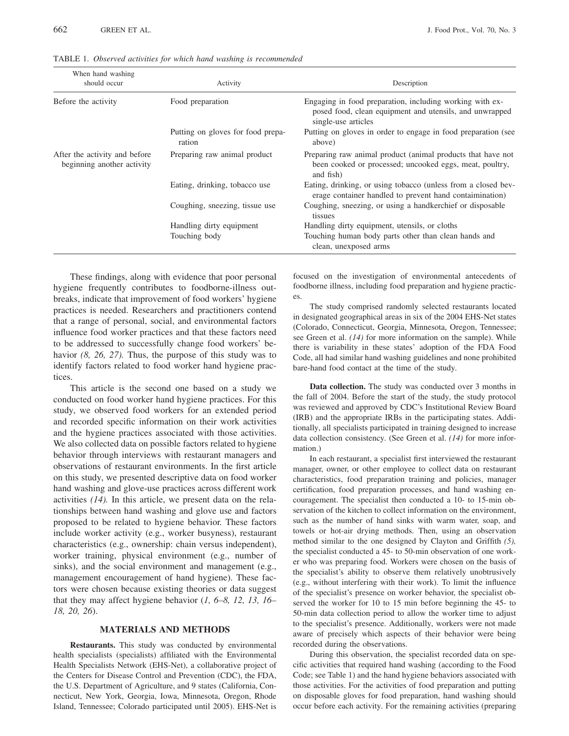| When hand washing<br>should occur                           | Activity                                    | Description                                                                                                                                |  |  |
|-------------------------------------------------------------|---------------------------------------------|--------------------------------------------------------------------------------------------------------------------------------------------|--|--|
| Before the activity                                         | Food preparation                            | Engaging in food preparation, including working with ex-<br>posed food, clean equipment and utensils, and unwrapped<br>single-use articles |  |  |
|                                                             | Putting on gloves for food prepa-<br>ration | Putting on gloves in order to engage in food preparation (see<br>above)                                                                    |  |  |
| After the activity and before<br>beginning another activity | Preparing raw animal product                | Preparing raw animal product (animal products that have not<br>been cooked or processed; uncooked eggs, meat, poultry,<br>and fish)        |  |  |
|                                                             | Eating, drinking, tobacco use               | Eating, drinking, or using tobacco (unless from a closed bev-<br>erage container handled to prevent hand contain ination)                  |  |  |
|                                                             | Coughing, sneezing, tissue use              | Coughing, sneezing, or using a handkerchief or disposable<br>tissues                                                                       |  |  |
|                                                             | Handling dirty equipment                    | Handling dirty equipment, utensils, or cloths                                                                                              |  |  |
|                                                             | Touching body                               | Touching human body parts other than clean hands and<br>clean, unexposed arms                                                              |  |  |

TABLE 1. *Observed activities for which hand washing is recommended*

These findings, along with evidence that poor personal hygiene frequently contributes to foodborne-illness outbreaks, indicate that improvement of food workers' hygiene practices is needed. Researchers and practitioners contend that a range of personal, social, and environmental factors influence food worker practices and that these factors need to be addressed to successfully change food workers' behavior *(8, 26, 27).* Thus, the purpose of this study was to identify factors related to food worker hand hygiene practices.

This article is the second one based on a study we conducted on food worker hand hygiene practices. For this study, we observed food workers for an extended period and recorded specific information on their work activities and the hygiene practices associated with those activities. We also collected data on possible factors related to hygiene behavior through interviews with restaurant managers and observations of restaurant environments. In the first article on this study, we presented descriptive data on food worker hand washing and glove-use practices across different work activities *(14).* In this article, we present data on the relationships between hand washing and glove use and factors proposed to be related to hygiene behavior. These factors include worker activity (e.g., worker busyness), restaurant characteristics (e.g., ownership: chain versus independent), worker training, physical environment (e.g., number of sinks), and the social environment and management (e.g., management encouragement of hand hygiene). These factors were chosen because existing theories or data suggest that they may affect hygiene behavior (*1, 6–8, 12, 13, 16– 18, 20, 26*).

### **MATERIALS AND METHODS**

**Restaurants.** This study was conducted by environmental health specialists (specialists) affiliated with the Environmental Health Specialists Network (EHS-Net), a collaborative project of the Centers for Disease Control and Prevention (CDC), the FDA, the U.S. Department of Agriculture, and 9 states (California, Connecticut, New York, Georgia, Iowa, Minnesota, Oregon, Rhode Island, Tennessee; Colorado participated until 2005). EHS-Net is

focused on the investigation of environmental antecedents of foodborne illness, including food preparation and hygiene practices.

The study comprised randomly selected restaurants located in designated geographical areas in six of the 2004 EHS-Net states (Colorado, Connecticut, Georgia, Minnesota, Oregon, Tennessee; see Green et al. *(14)* for more information on the sample). While there is variability in these states' adoption of the FDA Food Code, all had similar hand washing guidelines and none prohibited bare-hand food contact at the time of the study.

**Data collection.** The study was conducted over 3 months in the fall of 2004. Before the start of the study, the study protocol was reviewed and approved by CDC's Institutional Review Board (IRB) and the appropriate IRBs in the participating states. Additionally, all specialists participated in training designed to increase data collection consistency. (See Green et al. *(14)* for more information.)

In each restaurant, a specialist first interviewed the restaurant manager, owner, or other employee to collect data on restaurant characteristics, food preparation training and policies, manager certification, food preparation processes, and hand washing encouragement. The specialist then conducted a 10- to 15-min observation of the kitchen to collect information on the environment, such as the number of hand sinks with warm water, soap, and towels or hot-air drying methods. Then, using an observation method similar to the one designed by Clayton and Griffith *(5),* the specialist conducted a 45- to 50-min observation of one worker who was preparing food. Workers were chosen on the basis of the specialist's ability to observe them relatively unobtrusively (e.g., without interfering with their work). To limit the influence of the specialist's presence on worker behavior, the specialist observed the worker for 10 to 15 min before beginning the 45- to 50-min data collection period to allow the worker time to adjust to the specialist's presence. Additionally, workers were not made aware of precisely which aspects of their behavior were being recorded during the observations.

During this observation, the specialist recorded data on specific activities that required hand washing (according to the Food Code; see Table 1) and the hand hygiene behaviors associated with those activities. For the activities of food preparation and putting on disposable gloves for food preparation, hand washing should occur before each activity. For the remaining activities (preparing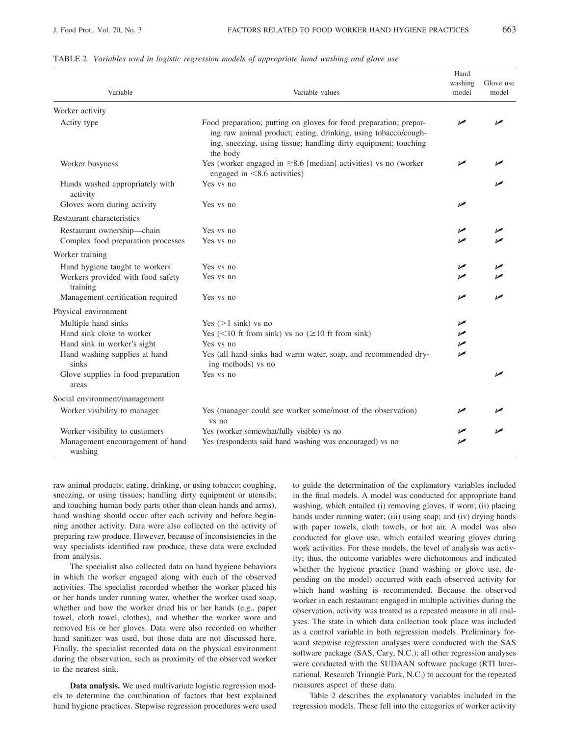| Variable                                      | Variable values                                                                                                                                                                                                    | Hand<br>washing<br>model | Glove use<br>model    |
|-----------------------------------------------|--------------------------------------------------------------------------------------------------------------------------------------------------------------------------------------------------------------------|--------------------------|-----------------------|
| Worker activity                               |                                                                                                                                                                                                                    |                          |                       |
| Actity type                                   | Food preparation; putting on gloves for food preparation; prepar-<br>ing raw animal product; eating, drinking, using tobacco/cough-<br>ing, sneezing, using tissue; handling dirty equipment; touching<br>the body | مما                      | مرا                   |
| Worker busyness                               | Yes (worker engaged in $\geq 8.6$ [median] activities) vs no (worker<br>engaged in $\leq 8.6$ activities)                                                                                                          | ممرا                     |                       |
| Hands washed appropriately with<br>activity   | Yes vs no                                                                                                                                                                                                          |                          |                       |
| Gloves worn during activity                   | Yes vs no                                                                                                                                                                                                          | مما                      |                       |
| Restaurant characteristics                    |                                                                                                                                                                                                                    |                          |                       |
| Restaurant ownership-chain                    | Yes vs no                                                                                                                                                                                                          |                          |                       |
| Complex food preparation processes            | Yes vs no                                                                                                                                                                                                          | حما                      |                       |
| Worker training                               |                                                                                                                                                                                                                    |                          |                       |
| Hand hygiene taught to workers                | Yes vs no                                                                                                                                                                                                          |                          |                       |
| Workers provided with food safety<br>training | Yes vs no                                                                                                                                                                                                          | حما                      |                       |
| Management certification required             | Yes vs no                                                                                                                                                                                                          | حما                      |                       |
| Physical environment                          |                                                                                                                                                                                                                    |                          |                       |
| Multiple hand sinks                           | Yes $(>1 \sin k)$ vs no                                                                                                                                                                                            | مما                      |                       |
| Hand sink close to worker                     | Yes (<10 ft from sink) vs no ( $\geq$ 10 ft from sink)                                                                                                                                                             | ↙                        |                       |
| Hand sink in worker's sight                   | Yes vs no                                                                                                                                                                                                          | مما                      |                       |
| Hand washing supplies at hand<br>sinks        | Yes (all hand sinks had warm water, soap, and recommended dry-<br>ing methods) vs no                                                                                                                               | مما                      |                       |
| Glove supplies in food preparation<br>areas   | Yes vs no                                                                                                                                                                                                          |                          | $\blacktriangleright$ |
| Social environment/management                 |                                                                                                                                                                                                                    |                          |                       |
| Worker visibility to manager                  | Yes (manager could see worker some/most of the observation)<br>vs no                                                                                                                                               |                          |                       |
| Worker visibility to customers                | Yes (worker somewhat/fully visible) vs no                                                                                                                                                                          |                          | حرا                   |
| Management encouragement of hand<br>washing   | Yes (respondents said hand washing was encouraged) vs no                                                                                                                                                           | مما                      |                       |

|  |  |  |  |  |  | TABLE 2. Variables used in logistic regression models of appropriate hand washing and glove use |  |  |  |  |  |
|--|--|--|--|--|--|-------------------------------------------------------------------------------------------------|--|--|--|--|--|
|--|--|--|--|--|--|-------------------------------------------------------------------------------------------------|--|--|--|--|--|

raw animal products; eating, drinking, or using tobacco; coughing, sneezing, or using tissues; handling dirty equipment or utensils; and touching human body parts other than clean hands and arms), hand washing should occur after each activity and before beginning another activity. Data were also collected on the activity of preparing raw produce. However, because of inconsistencies in the way specialists identified raw produce, these data were excluded from analysis.

The specialist also collected data on hand hygiene behaviors in which the worker engaged along with each of the observed activities. The specialist recorded whether the worker placed his or her hands under running water, whether the worker used soap, whether and how the worker dried his or her hands (e.g., paper towel, cloth towel, clothes), and whether the worker wore and removed his or her gloves. Data were also recorded on whether hand sanitizer was used, but those data are not discussed here. Finally, the specialist recorded data on the physical environment during the observation, such as proximity of the observed worker to the nearest sink.

**Data analysis.** We used multivariate logistic regression models to determine the combination of factors that best explained hand hygiene practices. Stepwise regression procedures were used

to guide the determination of the explanatory variables included in the final models. A model was conducted for appropriate hand washing, which entailed (i) removing gloves, if worn; (ii) placing hands under running water; (iii) using soap; and (iv) drying hands with paper towels, cloth towels, or hot air. A model was also conducted for glove use, which entailed wearing gloves during work activities. For these models, the level of analysis was activity; thus, the outcome variables were dichotomous and indicated whether the hygiene practice (hand washing or glove use, depending on the model) occurred with each observed activity for which hand washing is recommended. Because the observed worker in each restaurant engaged in multiple activities during the observation, activity was treated as a repeated measure in all analyses. The state in which data collection took place was included as a control variable in both regression models. Preliminary forward stepwise regression analyses were conducted with the SAS software package (SAS, Cary, N.C.); all other regression analyses were conducted with the SUDAAN software package (RTI International, Research Triangle Park, N.C.) to account for the repeated measures aspect of these data.

Table 2 describes the explanatory variables included in the regression models. These fell into the categories of worker activity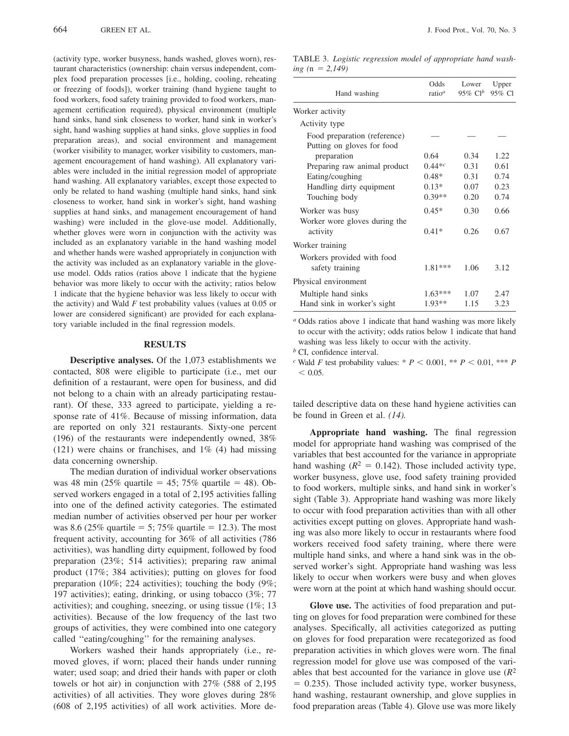taurant characteristics (ownership: chain versus independent, com- $ing$  ( $n = 2,149$ ) plex food preparation processes [i.e., holding, cooling, reheating or freezing of foods]), worker training (hand hygiene taught to food workers, food safety training provided to food workers, management certification required), physical environment (multiple hand sinks, hand sink closeness to worker, hand sink in worker's hand sinks, hand sink closeness to worker, hand sink in worker's<br>
sight, hand washing supplies at hand sinks, glove supplies in food<br>
preparation areas), and social environment and management<br>
(worker visibility to manager supplies at hand sinks, and management encouragement of hand washing) were included in the glove-use model. Additionally, whether gloves were worn in conjunction with the activity was included as an explanatory variable in the hand washing model<br>and whether hands were washed appropriately in conjunction with<br>the activity was included as an explanatory variable in the glove-<br>use model. Odds ratios (ratio behavior was more likely to occur with the activity; ratios below 1 indicate that the hygiene behavior was less likely to occur with the activity) and Wald  $F$  test probability values (values at 0.05 or lower are considered significant) are provided for each explana-<br>tory variable included in the final regression models.

contacted, 808 were eligible to participate (i.e., met our  $\leq 0.05$ . definition of a restaurant, were open for business, and did not belong to a chain with an already participating restausponse rate of 41%. Because of missing information, data be found in Green et al. *(14).*

was 8.6 (25% quartile = 5; 75% quartile = 12.3). The most<br>frequent activity, accounting for 36% of all activities (786<br>activities), was handling dirty equipment, followed by food<br>preparation (23%; 514 activities); prepari activities); and coughing, sneezing, or using tissue (1%; 13 **Glove use.** The activities of food preparation and putactivities). Because of the low frequency of the last two ting on gloves for food preparation were combined for these groups of activities, they were combined into one category analyses. Specifically, all activities categorized as putting

moved gloves, if worn; placed their hands under running regression model for glove use was composed of the variwater; used soap; and dried their hands with paper or cloth ables that best accounted for the variance in glove use  $(R^2)$ towels or hot air) in conjunction with  $27\%$  (588 of 2,195 = 0.235). Those included activity type, worker busyness, activities) of all activities. They wore gloves during 28% hand washing, restaurant ownership, and glove supplies in (608 of 2,195 activities) of all work activities. More de- food preparation areas (Table 4). Glove use was more likely

(activity type, worker busyness, hands washed, gloves worn), res- TABLE 3. *Logistic regression model of appropriate hand wash-*

| Hand washing                                  | Odds<br>$ratio^a$ | Lower<br>95% $Cl^b$ | Upper<br>95% Cl |
|-----------------------------------------------|-------------------|---------------------|-----------------|
| Worker activity                               |                   |                     |                 |
| Activity type                                 |                   |                     |                 |
| Food preparation (reference)                  |                   |                     |                 |
| Putting on gloves for food                    |                   |                     |                 |
| preparation                                   | 0.64              | 0.34                | 1.22.           |
| Preparing raw animal product                  | $0.44 *c$         | 0.31                | 0.61            |
| Eating/coughing                               | $0.48*$           | 0.31                | 0.74            |
| Handling dirty equipment                      | $0.13*$           | 0.07                | 0.23            |
| Touching body                                 | $0.39**$          | 0.20                | 0.74            |
| Worker was busy                               | $0.45*$           | 0.30                | 0.66            |
| Worker wore gloves during the<br>activity     | $0.41*$           | 0.26                | 0.67            |
| Worker training                               |                   |                     |                 |
| Workers provided with food<br>safety training | $1.81***$         | 1.06                | 3.12            |
| Physical environment                          |                   |                     |                 |
| Multiple hand sinks                           | $1.63***$         | 1.07                | 2.47            |
| Hand sink in worker's sight                   | $1.93**$          | 1.15                | 3.23            |

to occur with the activity; odds ratios below 1 indicate that hand **RESULTS** washing was less likely to occur with the activity.<br> **Descriptive analyses.** Of the 1,073 establishments we  $e^{i\omega}$  wald *E* test probability values: \* *P* < 0.001 \*\* *P* 

 $\epsilon$  Wald *F* test probability values: \* *P* < 0.001, \*\* *P* < 0.01, \*\*\* *P* 

rant). Of these, 333 agreed to participate, yielding a re-<br>tailed descriptive data on these hand hygiene activities can

are reported on only 321 restaurants. Sixty-one percent<br>
(196) of the restaurants were independently owned, 38%<br>
(121) were chains or franchises, and 1% (4) had missing<br>
data concerning ownership.<br>
The median duration of

called ''eating/coughing'' for the remaining analyses. on gloves for food preparation were recategorized as food Workers washed their hands appropriately (i.e., re- preparation activities in which gloves were worn. The final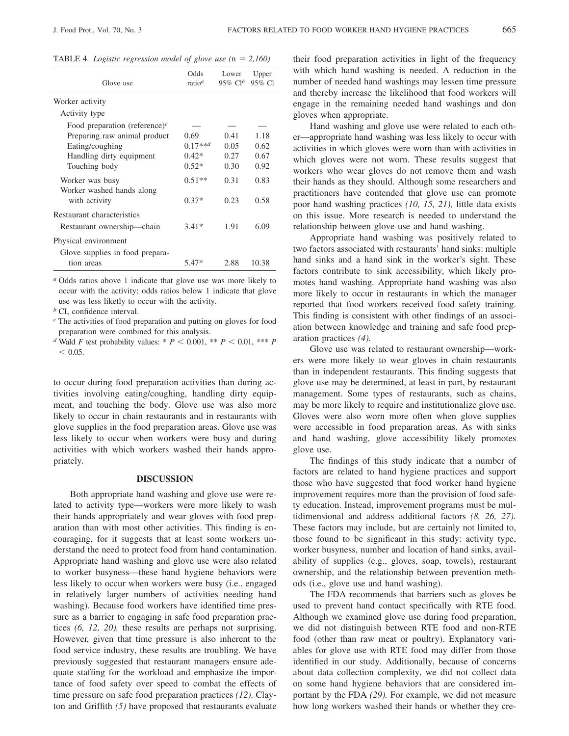TABLE 4. *Logistic regression model of glove use*  $(n = 2,160)$ 

| Glove use                                    | Odds<br>$ratio^a$ | Lower<br>95% Cl <sup>b</sup> | Upper<br>$95\%$ Cl |
|----------------------------------------------|-------------------|------------------------------|--------------------|
| Worker activity                              |                   |                              |                    |
| Activity type                                |                   |                              |                    |
| Food preparation (reference) <sup>c</sup>    |                   |                              |                    |
| Preparing raw animal product                 | 0.69              | 0.41                         | 1.18               |
| Eating/coughing                              | $0.17**d$         | 0.05                         | 0.62               |
| Handling dirty equipment                     | $0.42*$           | 0.27                         | 0.67               |
| Touching body                                | $0.52*$           | 0.30                         | 0.92               |
| Worker was busy<br>Worker washed hands along | $0.51**$          | 0.31                         | 0.83               |
| with activity                                | $0.37*$           | 0.23                         | 0.58               |
| Restaurant characteristics                   |                   |                              |                    |
| Restaurant ownership-chain                   | $3.41*$           | 1.91                         | 6.09               |
| Physical environment                         |                   |                              |                    |
| Glove supplies in food prepara-              |                   |                              |                    |
| tion areas                                   | 5.47*             | 2.88                         | 10.38              |

*<sup>a</sup>* Odds ratios above 1 indicate that glove use was more likely to occur with the activity; odds ratios below 1 indicate that glove use was less liketly to occur with the activity.

*<sup>b</sup>* CI, confidence interval.

*<sup>d</sup>* Wald *F* test probability values: \* *P* < 0.001, \*\* *P* < 0.01, \*\*\* *P*  $< 0.05$ .

to occur during food preparation activities than during activities involving eating/coughing, handling dirty equipment, and touching the body. Glove use was also more likely to occur in chain restaurants and in restaurants with glove supplies in the food preparation areas. Glove use was less likely to occur when workers were busy and during activities with which workers washed their hands appropriately.

### **DISCUSSION**

Both appropriate hand washing and glove use were related to activity type—workers were more likely to wash their hands appropriately and wear gloves with food preparation than with most other activities. This finding is encouraging, for it suggests that at least some workers understand the need to protect food from hand contamination. Appropriate hand washing and glove use were also related to worker busyness—these hand hygiene behaviors were less likely to occur when workers were busy (i.e., engaged in relatively larger numbers of activities needing hand washing). Because food workers have identified time pressure as a barrier to engaging in safe food preparation practices *(6, 12, 20),* these results are perhaps not surprising. However, given that time pressure is also inherent to the food service industry, these results are troubling. We have previously suggested that restaurant managers ensure adequate staffing for the workload and emphasize the importance of food safety over speed to combat the effects of time pressure on safe food preparation practices *(12).* Clayton and Griffith *(5)* have proposed that restaurants evaluate

their food preparation activities in light of the frequency with which hand washing is needed. A reduction in the number of needed hand washings may lessen time pressure and thereby increase the likelihood that food workers will engage in the remaining needed hand washings and don gloves when appropriate.

Hand washing and glove use were related to each other—appropriate hand washing was less likely to occur with activities in which gloves were worn than with activities in which gloves were not worn. These results suggest that workers who wear gloves do not remove them and wash their hands as they should. Although some researchers and practitioners have contended that glove use can promote poor hand washing practices *(10, 15, 21),* little data exists on this issue. More research is needed to understand the relationship between glove use and hand washing.

Appropriate hand washing was positively related to two factors associated with restaurants' hand sinks: multiple hand sinks and a hand sink in the worker's sight. These factors contribute to sink accessibility, which likely promotes hand washing. Appropriate hand washing was also more likely to occur in restaurants in which the manager reported that food workers received food safety training. This finding is consistent with other findings of an association between knowledge and training and safe food preparation practices *(4).*

Glove use was related to restaurant ownership—workers were more likely to wear gloves in chain restaurants than in independent restaurants. This finding suggests that glove use may be determined, at least in part, by restaurant management. Some types of restaurants, such as chains, may be more likely to require and institutionalize glove use. Gloves were also worn more often when glove supplies were accessible in food preparation areas. As with sinks and hand washing, glove accessibility likely promotes glove use.

The findings of this study indicate that a number of factors are related to hand hygiene practices and support those who have suggested that food worker hand hygiene improvement requires more than the provision of food safety education. Instead, improvement programs must be multidimensional and address additional factors *(8, 26, 27).* These factors may include, but are certainly not limited to, those found to be significant in this study: activity type, worker busyness, number and location of hand sinks, availability of supplies (e.g., gloves, soap, towels), restaurant ownership, and the relationship between prevention methods (i.e., glove use and hand washing).

The FDA recommends that barriers such as gloves be used to prevent hand contact specifically with RTE food. Although we examined glove use during food preparation, we did not distinguish between RTE food and non-RTE food (other than raw meat or poultry). Explanatory variables for glove use with RTE food may differ from those identified in our study. Additionally, because of concerns about data collection complexity, we did not collect data on some hand hygiene behaviors that are considered important by the FDA *(29).* For example, we did not measure how long workers washed their hands or whether they cre

*<sup>c</sup>* The activities of food preparation and putting on gloves for food preparation were combined for this analysis.